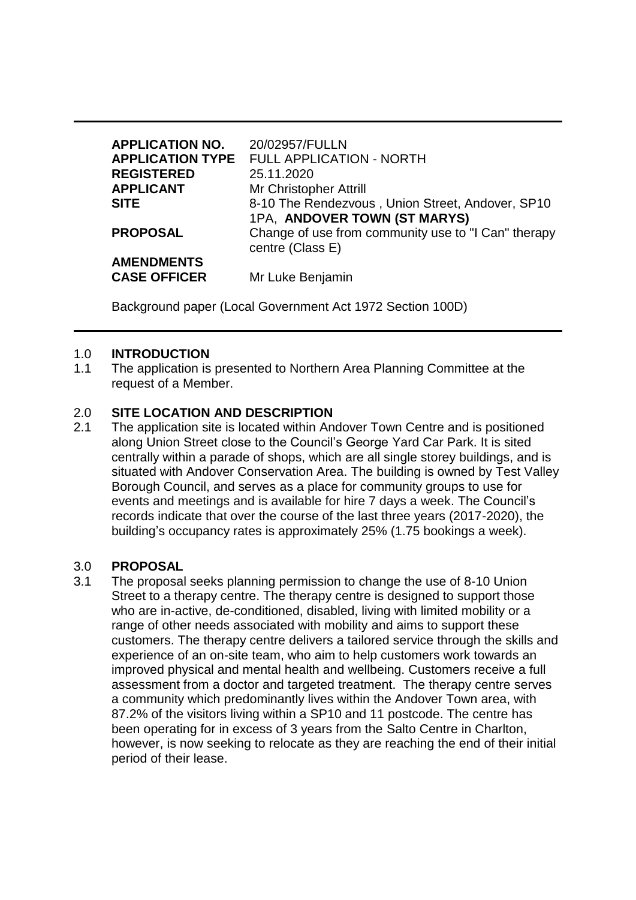| <b>APPLICATION NO.</b> | 20/02957/FULLN                                                                   |
|------------------------|----------------------------------------------------------------------------------|
|                        | <b>APPLICATION TYPE FULL APPLICATION - NORTH</b>                                 |
| <b>REGISTERED</b>      | 25.11.2020                                                                       |
| <b>APPLICANT</b>       | Mr Christopher Attrill                                                           |
| <b>SITE</b>            | 8-10 The Rendezvous, Union Street, Andover, SP10<br>1PA, ANDOVER TOWN (ST MARYS) |
| <b>PROPOSAL</b>        | Change of use from community use to "I Can" therapy<br>centre (Class E)          |
| <b>AMENDMENTS</b>      |                                                                                  |
| <b>CASE OFFICER</b>    | Mr Luke Benjamin                                                                 |

Background paper (Local Government Act 1972 Section 100D)

### 1.0 **INTRODUCTION**

1.1 The application is presented to Northern Area Planning Committee at the request of a Member.

#### 2.0 **SITE LOCATION AND DESCRIPTION**

2.1 The application site is located within Andover Town Centre and is positioned along Union Street close to the Council's George Yard Car Park. It is sited centrally within a parade of shops, which are all single storey buildings, and is situated with Andover Conservation Area. The building is owned by Test Valley Borough Council, and serves as a place for community groups to use for events and meetings and is available for hire 7 days a week. The Council's records indicate that over the course of the last three years (2017-2020), the building's occupancy rates is approximately 25% (1.75 bookings a week).

#### 3.0 **PROPOSAL**

3.1 The proposal seeks planning permission to change the use of 8-10 Union Street to a therapy centre. The therapy centre is designed to support those who are in-active, de-conditioned, disabled, living with limited mobility or a range of other needs associated with mobility and aims to support these customers. The therapy centre delivers a tailored service through the skills and experience of an on-site team, who aim to help customers work towards an improved physical and mental health and wellbeing. Customers receive a full assessment from a doctor and targeted treatment. The therapy centre serves a community which predominantly lives within the Andover Town area, with 87.2% of the visitors living within a SP10 and 11 postcode. The centre has been operating for in excess of 3 years from the Salto Centre in Charlton, however, is now seeking to relocate as they are reaching the end of their initial period of their lease.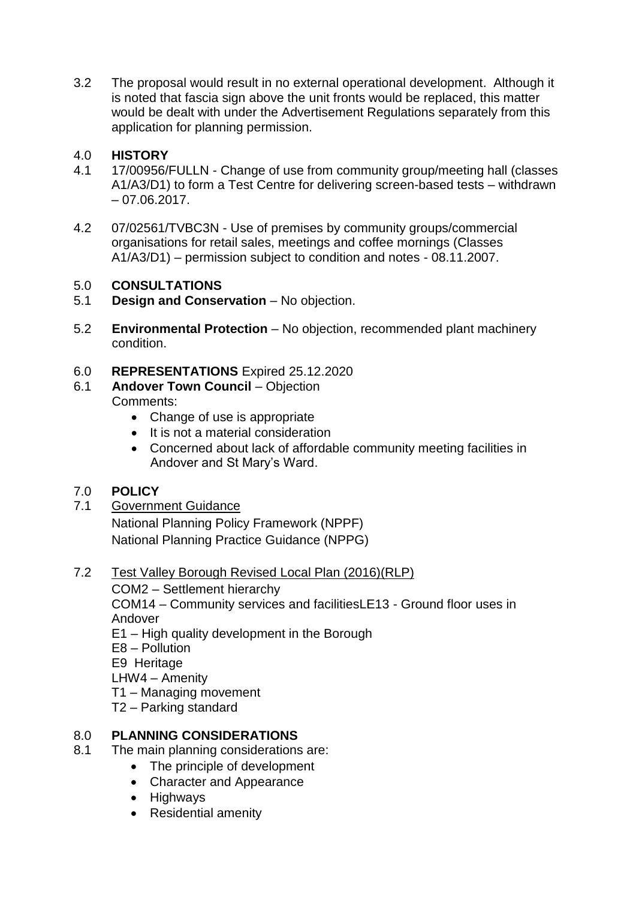3.2 The proposal would result in no external operational development. Although it is noted that fascia sign above the unit fronts would be replaced, this matter would be dealt with under the Advertisement Regulations separately from this application for planning permission.

# 4.0 **HISTORY**

- 4.1 17/00956/FULLN Change of use from community group/meeting hall (classes A1/A3/D1) to form a Test Centre for delivering screen-based tests – withdrawn  $-07.06.2017$ .
- 4.2 07/02561/TVBC3N Use of premises by community groups/commercial organisations for retail sales, meetings and coffee mornings (Classes A1/A3/D1) – permission subject to condition and notes - 08.11.2007.

# 5.0 **CONSULTATIONS**

- 5.1 **Design and Conservation** No objection.
- 5.2 **Environmental Protection**  No objection, recommended plant machinery condition.
- 6.0 **REPRESENTATIONS** Expired 25.12.2020
- 6.1 **Andover Town Council** Objection Comments:
	- Change of use is appropriate
	- $\bullet$  It is not a material consideration
	- Concerned about lack of affordable community meeting facilities in Andover and St Mary's Ward.

# 7.0 **POLICY**

# 7.1 Government Guidance National Planning Policy Framework (NPPF)

National Planning Practice Guidance (NPPG)

# 7.2 Test Valley Borough Revised Local Plan (2016)(RLP)

COM2 – Settlement hierarchy

COM14 – Community services and facilitiesLE13 - Ground floor uses in Andover

- E1 High quality development in the Borough
- E8 Pollution
- E9 Heritage
- LHW4 Amenity
- T1 Managing movement
- T2 Parking standard

# 8.0 **PLANNING CONSIDERATIONS**

- 8.1 The main planning considerations are:
	- The principle of development
	- Character and Appearance
	- Highways
	- Residential amenity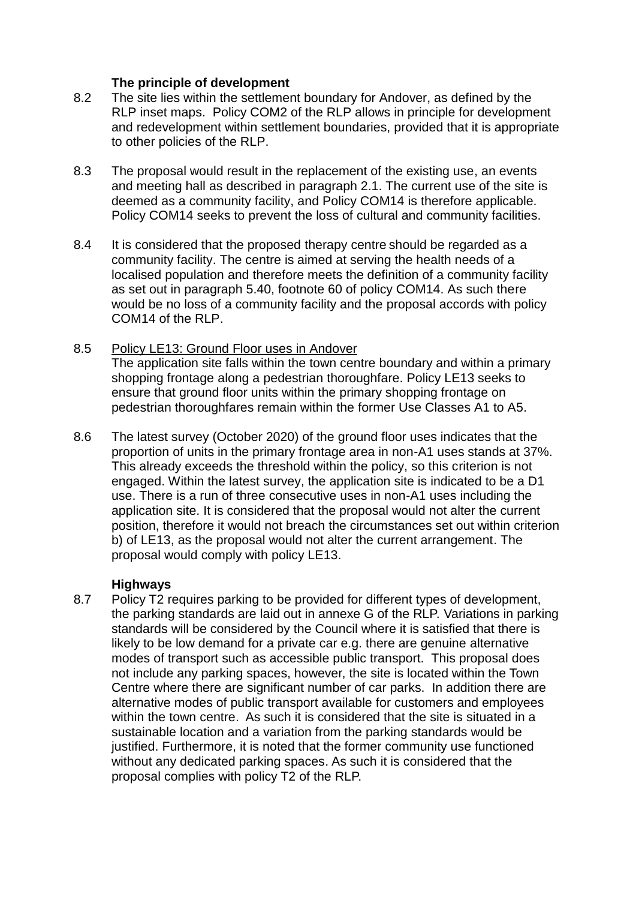### **The principle of development**

- 8.2 The site lies within the settlement boundary for Andover, as defined by the RLP inset maps. Policy COM2 of the RLP allows in principle for development and redevelopment within settlement boundaries, provided that it is appropriate to other policies of the RLP.
- 8.3 The proposal would result in the replacement of the existing use, an events and meeting hall as described in paragraph 2.1. The current use of the site is deemed as a community facility, and Policy COM14 is therefore applicable. Policy COM14 seeks to prevent the loss of cultural and community facilities.
- 8.4 It is considered that the proposed therapy centre should be regarded as a community facility. The centre is aimed at serving the health needs of a localised population and therefore meets the definition of a community facility as set out in paragraph 5.40, footnote 60 of policy COM14. As such there would be no loss of a community facility and the proposal accords with policy COM14 of the RLP.
- 8.5 Policy LE13: Ground Floor uses in Andover The application site falls within the town centre boundary and within a primary shopping frontage along a pedestrian thoroughfare. Policy LE13 seeks to ensure that ground floor units within the primary shopping frontage on pedestrian thoroughfares remain within the former Use Classes A1 to A5.
- 8.6 The latest survey (October 2020) of the ground floor uses indicates that the proportion of units in the primary frontage area in non-A1 uses stands at 37%. This already exceeds the threshold within the policy, so this criterion is not engaged. Within the latest survey, the application site is indicated to be a D1 use. There is a run of three consecutive uses in non-A1 uses including the application site. It is considered that the proposal would not alter the current position, therefore it would not breach the circumstances set out within criterion b) of LE13, as the proposal would not alter the current arrangement. The proposal would comply with policy LE13.

### **Highways**

8.7 Policy T2 requires parking to be provided for different types of development, the parking standards are laid out in annexe G of the RLP. Variations in parking standards will be considered by the Council where it is satisfied that there is likely to be low demand for a private car e.g. there are genuine alternative modes of transport such as accessible public transport. This proposal does not include any parking spaces, however, the site is located within the Town Centre where there are significant number of car parks. In addition there are alternative modes of public transport available for customers and employees within the town centre. As such it is considered that the site is situated in a sustainable location and a variation from the parking standards would be justified. Furthermore, it is noted that the former community use functioned without any dedicated parking spaces. As such it is considered that the proposal complies with policy T2 of the RLP.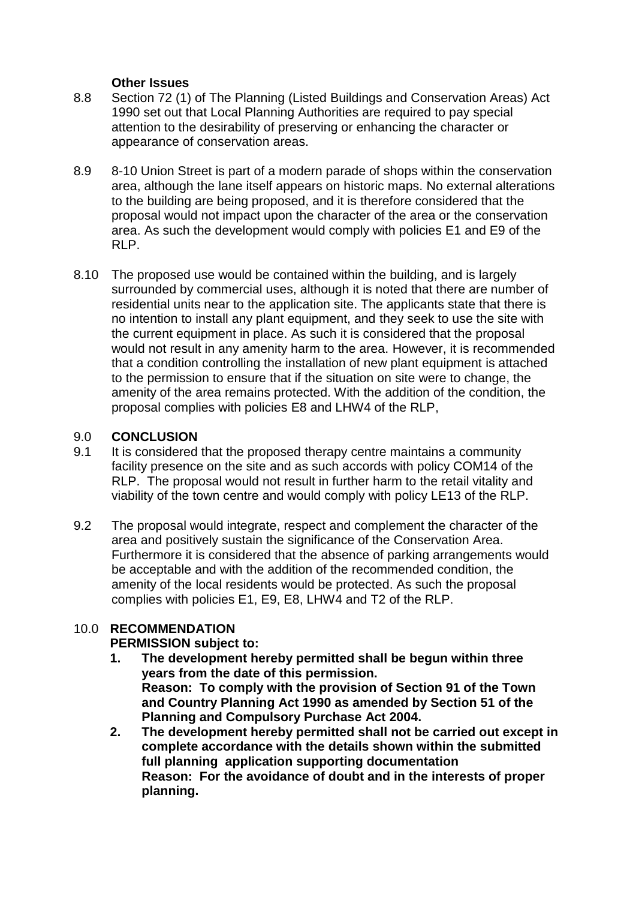### **Other Issues**

- 8.8 Section 72 (1) of The Planning (Listed Buildings and Conservation Areas) Act 1990 set out that Local Planning Authorities are required to pay special attention to the desirability of preserving or enhancing the character or appearance of conservation areas.
- 8.9 8-10 Union Street is part of a modern parade of shops within the conservation area, although the lane itself appears on historic maps. No external alterations to the building are being proposed, and it is therefore considered that the proposal would not impact upon the character of the area or the conservation area. As such the development would comply with policies E1 and E9 of the RLP.
- 8.10 The proposed use would be contained within the building, and is largely surrounded by commercial uses, although it is noted that there are number of residential units near to the application site. The applicants state that there is no intention to install any plant equipment, and they seek to use the site with the current equipment in place. As such it is considered that the proposal would not result in any amenity harm to the area. However, it is recommended that a condition controlling the installation of new plant equipment is attached to the permission to ensure that if the situation on site were to change, the amenity of the area remains protected. With the addition of the condition, the proposal complies with policies E8 and LHW4 of the RLP,

### 9.0 **CONCLUSION**

- 9.1 It is considered that the proposed therapy centre maintains a community facility presence on the site and as such accords with policy COM14 of the RLP. The proposal would not result in further harm to the retail vitality and viability of the town centre and would comply with policy LE13 of the RLP.
- 9.2 The proposal would integrate, respect and complement the character of the area and positively sustain the significance of the Conservation Area. Furthermore it is considered that the absence of parking arrangements would be acceptable and with the addition of the recommended condition, the amenity of the local residents would be protected. As such the proposal complies with policies E1, E9, E8, LHW4 and T2 of the RLP.

# 10.0 **RECOMMENDATION**

# **PERMISSION subject to:**

- **1. The development hereby permitted shall be begun within three years from the date of this permission. Reason: To comply with the provision of Section 91 of the Town and Country Planning Act 1990 as amended by Section 51 of the Planning and Compulsory Purchase Act 2004.**
- **2. The development hereby permitted shall not be carried out except in complete accordance with the details shown within the submitted full planning application supporting documentation Reason: For the avoidance of doubt and in the interests of proper planning.**